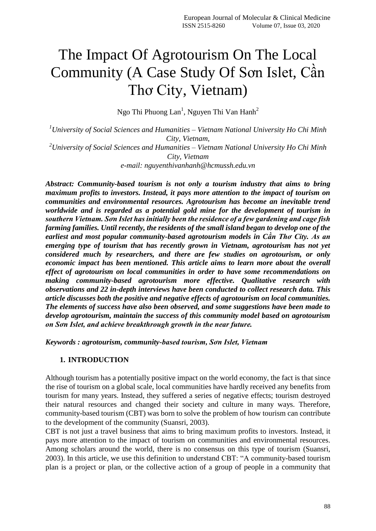# The Impact Of Agrotourism On The Local Community (A Case Study Of Sơn Islet, Cần Thơ City, Vietnam)

Ngo Thi Phuong Lan<sup>1</sup>, Nguyen Thi Van Hanh<sup>2</sup>

*<sup>1</sup>University of Social Sciences and Humanities – Vietnam National University Ho Chi Minh City, Vietnam, <sup>2</sup>University of Social Sciences and Humanities – Vietnam National University Ho Chi Minh City, Vietnam e-mail: [nguyenthivanhanh@hcmussh.edu.vn](mailto:nguyenthivanhanh@hcmussh.edu.vn)*

*Abstract: Community-based tourism is not only a tourism industry that aims to bring maximum profits to investors. Instead, it pays more attention to the impact of tourism on communities and environmental resources. Agrotourism has become an inevitable trend worldwide and is regarded as a potential gold mine for the development of tourism in southern Vietnam. Sơn Islet has initially been the residence of a few gardening and cage fish farming families. Until recently, the residents of the small island began to develop one of the earliest and most popular community-based agrotourism models in Cần Thơ City. As an emerging type of tourism that has recently grown in Vietnam, agrotourism has not yet considered much by researchers, and there are few studies on agrotourism, or only economic impact has been mentioned. This article aims to learn more about the overall effect of agrotourism on local communities in order to have some recommendations on making community-based agrotourism more effective. Qualitative research with observations and 22 in-depth interviews have been conducted to collect research data. This article discusses both the positive and negative effects of agrotourism on local communities. The elements of success have also been observed, and some suggestions have been made to develop agrotourism, maintain the success of this community model based on agrotourism on Sơn Islet, and achieve breakthrough growth in the near future.*

*Keywords : agrotourism, community-based tourism, Sơn Islet, Vietnam*

# **1. INTRODUCTION**

Although tourism has a potentially positive impact on the world economy, the fact is that since the rise of tourism on a global scale, local communities have hardly received any benefits from tourism for many years. Instead, they suffered a series of negative effects; tourism destroyed their natural resources and changed their society and culture in many ways. Therefore, community-based tourism (CBT) was born to solve the problem of how tourism can contribute to the development of the community (Suansri, 2003).

CBT is not just a travel business that aims to bring maximum profits to investors. Instead, it pays more attention to the impact of tourism on communities and environmental resources. Among scholars around the world, there is no consensus on this type of tourism (Suansri, 2003). In this article, we use this definition to understand CBT: "A community-based tourism plan is a project or plan, or the collective action of a group of people in a community that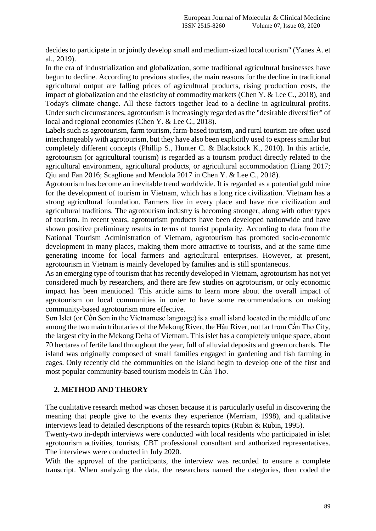decides to participate in or jointly develop small and medium-sized local tourism" (Yanes A. et al., 2019).

In the era of industrialization and globalization, some traditional agricultural businesses have begun to decline. According to previous studies, the main reasons for the decline in traditional agricultural output are falling prices of agricultural products, rising production costs, the impact of globalization and the elasticity of commodity markets (Chen Y. & Lee C., 2018), and Today's climate change. All these factors together lead to a decline in agricultural profits. Under such circumstances, agrotourism is increasingly regarded as the "desirable diversifier" of local and regional economies (Chen Y. & Lee C., 2018).

Labels such as agrotourism, farm tourism, farm-based tourism, and rural tourism are often used interchangeably with agrotourism, but they have also been explicitly used to express similar but completely different concepts (Phillip S., Hunter C. & Blackstock K., 2010). In this article, agrotourism (or agricultural tourism) is regarded as a tourism product directly related to the agricultural environment, agricultural products, or agricultural accommodation (Liang 2017; Qiu and Fan 2016; Scaglione and Mendola 2017 in Chen Y. & Lee C., 2018).

Agrotourism has become an inevitable trend worldwide. It is regarded as a potential gold mine for the development of tourism in Vietnam, which has a long rice civilization. Vietnam has a strong agricultural foundation. Farmers live in every place and have rice civilization and agricultural traditions. The agrotourism industry is becoming stronger, along with other types of tourism. In recent years, agrotourism products have been developed nationwide and have shown positive preliminary results in terms of tourist popularity. According to data from the National Tourism Administration of Vietnam, agrotourism has promoted socio-economic development in many places, making them more attractive to tourists, and at the same time generating income for local farmers and agricultural enterprises. However, at present, agrotourism in Vietnam is mainly developed by families and is still spontaneous.

As an emerging type of tourism that has recently developed in Vietnam, agrotourism has not yet considered much by researchers, and there are few studies on agrotourism, or only economic impact has been mentioned. This article aims to learn more about the overall impact of agrotourism on local communities in order to have some recommendations on making community-based agrotourism more effective.

Sơn Islet (or Cồn Sơn in the Vietnamese language) is a small island located in the middle of one among the two main tributaries of the Mekong River, the Hậu River, not far from Cần Thơ City, the largest city in the Mekong Delta of Vietnam. This islet has a completely unique space, about 70 hectares of fertile land throughout the year, full of alluvial deposits and green orchards. The island was originally composed of small families engaged in gardening and fish farming in cages. Only recently did the communities on the island begin to develop one of the first and most popular community-based tourism models in Cần Thơ.

# **2. METHOD AND THEORY**

The qualitative research method was chosen because it is particularly useful in discovering the meaning that people give to the events they experience (Merriam, 1998), and qualitative interviews lead to detailed descriptions of the research topics (Rubin & Rubin, 1995).

Twenty-two in-depth interviews were conducted with local residents who participated in islet agrotourism activities, tourists, CBT professional consultant and authorized representatives. The interviews were conducted in July 2020.

With the approval of the participants, the interview was recorded to ensure a complete transcript. When analyzing the data, the researchers named the categories, then coded the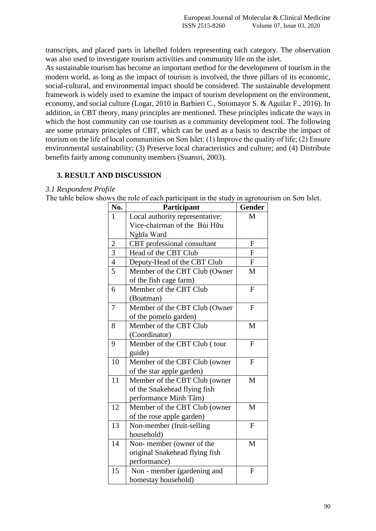transcripts, and placed parts in labelled folders representing each category. The observation was also used to investigate tourism activities and community life on the islet.

As sustainable tourism has become an important method for the development of tourism in the modern world, as long as the impact of tourism is involved, the three pillars of its economic, social-cultural, and environmental impact should be considered. The sustainable development framework is widely used to examine the impact of tourism development on the environment, economy, and social culture (Logar, 2010 in Barbieri C., Sotomayor S. & Aguilar F., 2016). In addition, in CBT theory, many principles are mentioned. These principles indicate the ways in which the host community can use tourism as a community development tool. The following are some primary principles of CBT, which can be used as a basis to describe the impact of tourism on the life of local communities on Sơn Islet: (1) Improve the quality of life; (2) Ensure environmental sustainability; (3) Preserve local characteristics and culture; and (4) Distribute benefits fairly among community members (Suansri, 2003).

# **3. RESULT AND DISCUSSION**

## *3.1 Respondent Profile*

The table below shows the role of each participant in the study in agrotourism on Sơn Islet.

| No.            | Participant                     | <b>Gender</b>  |
|----------------|---------------------------------|----------------|
| 1              | Local authority representative: | M              |
|                | Vice-chairman of the Bùi Hữu    |                |
|                | Nghĩa Ward                      |                |
| $\overline{c}$ | CBT professional consultant     | F              |
| $\overline{3}$ | Head of the CBT Club            | $\mathbf{F}$   |
| $\overline{4}$ | Deputy-Head of the CBT Club     | $\mathbf{F}$   |
| $\overline{5}$ | Member of the CBT Club (Owner   | M              |
|                | of the fish cage farm)          |                |
| 6              | Member of the CBT Club          | $\overline{F}$ |
|                | (Boatman)                       |                |
| 7              | Member of the CBT Club (Owner   | $\mathbf{F}$   |
|                | of the pomelo garden)           |                |
| 8              | Member of the CBT Club          | M              |
|                | (Coordinator)                   |                |
| 9              | Member of the CBT Club (tour    | $\mathbf{F}$   |
|                | guide)                          |                |
| 10             | Member of the CBT Club (owner   | $\mathbf{F}$   |
|                | of the star apple garden)       |                |
| 11             | Member of the CBT Club (owner   | M              |
|                | of the Snakehead flying fish    |                |
|                | performance Minh Tâm)           |                |
| 12             | Member of the CBT Club (owner   | M              |
|                | of the rose apple garden)       |                |
| 13             | Non-member (fruit-selling       | $\mathbf{F}$   |
|                | household)                      |                |
| 14             | Non-member (owner of the        | M              |
|                | original Snakehead flying fish  |                |
|                | performance)                    |                |
| 15             | Non - member (gardening and     | F              |
|                | homestay household)             |                |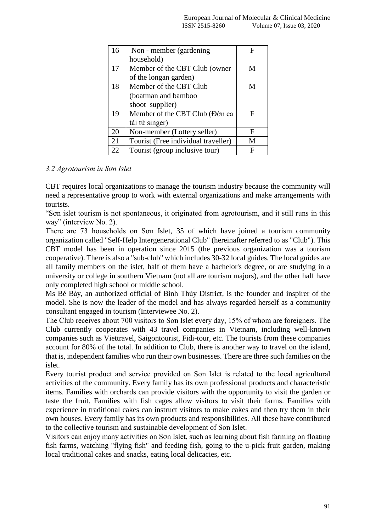| 16 | Non - member (gardening             | F |
|----|-------------------------------------|---|
|    | household)                          |   |
| 17 | Member of the CBT Club (owner       | M |
|    | of the longan garden)               |   |
| 18 | Member of the CBT Club              | M |
|    | (boatman and bamboo                 |   |
|    | shoot supplier)                     |   |
| 19 | Member of the CBT Club (Đờn ca      | F |
|    | tài tử singer)                      |   |
| 20 | Non-member (Lottery seller)         | F |
| 21 | Tourist (Free individual traveller) | M |
| 22 | Tourist (group inclusive tour)      | F |

## *3.2 Agrotourism in Sơn Islet*

CBT requires local organizations to manage the tourism industry because the community will need a representative group to work with external organizations and make arrangements with tourists.

―Sơn islet tourism is not spontaneous, it originated from agrotourism, and it still runs in this way" (interview No. 2).

There are 73 households on Sơn Islet, 35 of which have joined a tourism community organization called "Self-Help Intergenerational Club" (hereinafter referred to as "Club"). This CBT model has been in operation since 2015 (the previous organization was a tourism cooperative). There is also a "sub-club" which includes 30-32 local guides. The local guides are all family members on the islet, half of them have a bachelor's degree, or are studying in a university or college in southern Vietnam (not all are tourism majors), and the other half have only completed high school or middle school.

Ms Bé Bảy, an authorized official of Bình Thủy District, is the founder and inspirer of the model. She is now the leader of the model and has always regarded herself as a community consultant engaged in tourism (Interviewee No. 2).

The Club receives about 700 visitors to Sơn Islet every day, 15% of whom are foreigners. The Club currently cooperates with 43 travel companies in Vietnam, including well-known companies such as Viettravel, Saigontourist, Fidi-tour, etc. The tourists from these companies account for 80% of the total. In addition to Club, there is another way to travel on the island, that is, independent families who run their own businesses. There are three such families on the islet.

Every tourist product and service provided on Sơn Islet is related to the local agricultural activities of the community. Every family has its own professional products and characteristic items. Families with orchards can provide visitors with the opportunity to visit the garden or taste the fruit. Families with fish cages allow visitors to visit their farms. Families with experience in traditional cakes can instruct visitors to make cakes and then try them in their own houses. Every family has its own products and responsibilities. All these have contributed to the collective tourism and sustainable development of Sơn Islet.

Visitors can enjoy many activities on Sơn Islet, such as learning about fish farming on floating fish farms, watching "flying fish" and feeding fish, going to the u-pick fruit garden, making local traditional cakes and snacks, eating local delicacies, etc.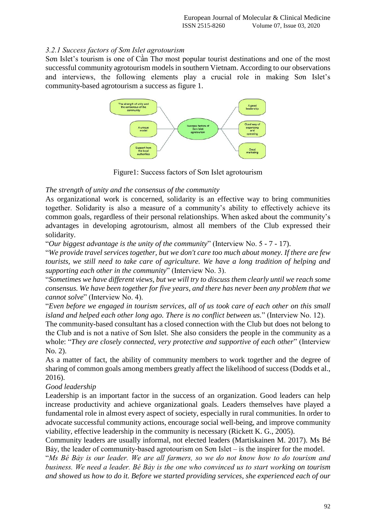# *3.2.1 Success factors of Sơn Islet agrotourism*

Sơn Islet's tourism is one of Cần Thơ most popular tourist destinations and one of the most successful community agrotourism models in southern Vietnam. According to our observations and interviews, the following elements play a crucial role in making Sơn Islet's community-based agrotourism a success as figure 1.



Figure1: Success factors of Sơn Islet agrotourism

## *The strength of unity and the consensus of the community*

As organizational work is concerned, solidarity is an effective way to bring communities together. Solidarity is also a measure of a community's ability to effectively achieve its common goals, regardless of their personal relationships. When asked about the community's advantages in developing agrotourism, almost all members of the Club expressed their solidarity.

―*Our biggest advantage is the unity of the community*‖ (Interview No. 5 - 7 - 17).

―*We provide travel services together, but we don't care too much about money. If there are few tourists, we still need to take care of agriculture. We have a long tradition of helping and supporting each other in the community*" (Interview No. 3).

―*Sometimes we have different views, but we will try to discuss them clearly until we reach some consensus. We have been together for five years, and there has never been any problem that we cannot solve*" (Interview No. 4).

―*Even before we engaged in tourism services, all of us took care of each other on this small island and helped each other long ago. There is no conflict between us.*" (Interview No. 12).

The community-based consultant has a closed connection with the Club but does not belong to the Club and is not a native of Sơn Islet. She also considers the people in the community as a whole: "They are closely connected, very protective and supportive of each other" (Interview No. 2).

As a matter of fact, the ability of community members to work together and the degree of sharing of common goals among members greatly affect the likelihood of success (Dodds et al., 2016).

# *Good leadership*

Leadership is an important factor in the success of an organization. Good leaders can help increase productivity and achieve organizational goals. Leaders themselves have played a fundamental role in almost every aspect of society, especially in rural communities. In order to advocate successful community actions, encourage social well-being, and improve community viability, effective leadership in the community is necessary (Rickett K. G., 2005).

Community leaders are usually informal, not elected leaders (Martiskainen M. 2017). Ms Bé Bảy, the leader of community-based agrotourism on Sơn Islet – is the inspirer for the model.

―*Ms Bé Bảy is our leader. We are all farmers, so we do not know how to do tourism and business. We need a leader. Bé Bảy is the one who convinced us to start working on tourism and showed us how to do it. Before we started providing services, she experienced each of our*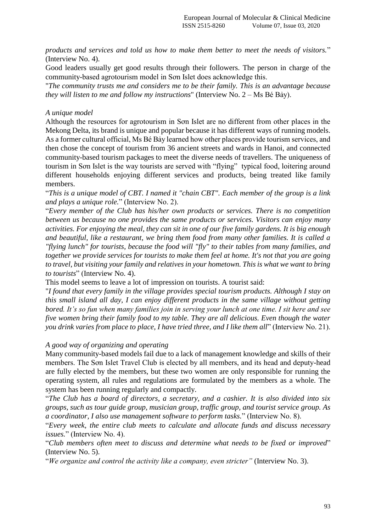*products and services and told us how to make them better to meet the needs of visitors.*‖ (Interview No. 4).

Good leaders usually get good results through their followers. The person in charge of the community-based agrotourism model in Sơn Islet does acknowledge this.

"*The community trusts me and considers me to be their family. This is an advantage because they will listen to me and follow my instructions*" (Interview No. 2 – Ms Bé Bảy).

#### *A unique model*

Although the resources for agrotourism in Sơn Islet are no different from other places in the Mekong Delta, its brand is unique and popular because it has different ways of running models. As a former cultural official, Ms Bé Bảy learned how other places provide tourism services, and then chose the concept of tourism from 36 ancient streets and wards in Hanoi, and connected community-based tourism packages to meet the diverse needs of travellers. The uniqueness of tourism in Son Islet is the way tourists are served with "flying" typical food, loitering around different households enjoying different services and products, being treated like family members.

―*This is a unique model of CBT. I named it "chain CBT". Each member of the group is a link and plays a unique role.*" (Interview No. 2).

―*Every member of the Club has his/her own products or services. There is no competition between us because no one provides the same products or services. Visitors can enjoy many activities. For enjoying the meal, they can sit in one of our five family gardens. It is big enough and beautiful, like a restaurant, we bring them food from many other families. It is called a "flying lunch" for tourists, because the food will "fly" to their tables from many families, and together we provide services for tourists to make them feel at home. It's not that you are going to travel, but visiting your family and relatives in your hometown. This is what we want to bring to tourists*" (Interview No. 4).

This model seems to leave a lot of impression on tourists. A tourist said:

"*I found that every family in the village provides special tourism products. Although I stay on this small island all day, I can enjoy different products in the same village without getting bored. It's so fun when many families join in serving your lunch at one time. I sit here and see five women bring their family food to my table. They are all delicious. Even though the water you drink varies from place to place, I have tried three, and I like them all*‖ (Interview No. 21).

#### *A good way of organizing and operating*

Many community-based models fail due to a lack of management knowledge and skills of their members. The Sơn Islet Travel Club is elected by all members, and its head and deputy-head are fully elected by the members, but these two women are only responsible for running the operating system, all rules and regulations are formulated by the members as a whole. The system has been running regularly and compactly.

―*The Club has a board of directors, a secretary, and a cashier. It is also divided into six groups, such as tour guide group, musician group, traffic group, and tourist service group. As a coordinator, I also use management software to perform tasks.*‖ (Interview No. 8).

―*Every week, the entire club meets to calculate and allocate funds and discuss necessary issues.*" (Interview No. 4).

―*Club members often meet to discuss and determine what needs to be fixed or improved*‖ (Interview No. 5).

―*We organize and control the activity like a company, even stricter"* (Interview No. 3).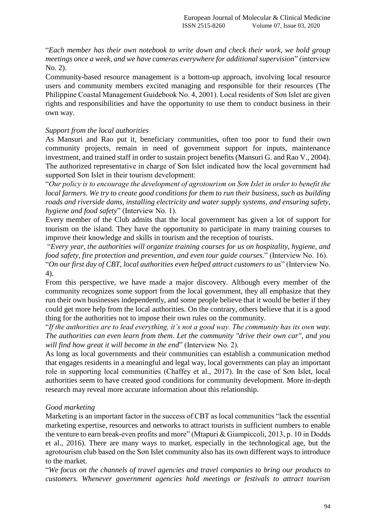―*Each member has their own notebook to write down and check their work, we hold group meetings once a week, and we have cameras everywhere for additional supervision*" (interview No. 2).

Community-based resource management is a bottom-up approach, involving local resource users and community members excited managing and responsible for their resources (The Philippine Coastal Management Guidebook No. 4, 2001). Local residents of Sơn Islet are given rights and responsibilities and have the opportunity to use them to conduct business in their own way.

## *Support from the local authorities*

As Mansuri and Rao put it, beneficiary communities, often too poor to fund their own community projects, remain in need of government support for inputs, maintenance investment, and trained staff in order to sustain project benefits (Mansuri G. and Rao V., 2004). The authorized representative in charge of Sơn Islet indicated how the local government had supported Sơn Islet in their tourism development:

―*Our policy is to encourage the development of agrotourism on Sơn Islet in order to benefit the local farmers. We try to create good conditions for them to run their business, such as building roads and riverside dams, installing electricity and water supply systems, and ensuring safety, hygiene and food safety*" (Interview No. 1).

Every member of the Club admits that the local government has given a lot of support for tourism on the island. They have the opportunity to participate in many training courses to improve their knowledge and skills in tourism and the reception of tourists.

―*Every year, the authorities will organize training courses for us on hospitality, hygiene, and food safety, fire protection and prevention, and even tour guide courses.*‖ (Interview No. 16).

―*On our first day of CBT, local authorities even helped attract customers to us*‖ (Interview No. 4).

From this perspective, we have made a major discovery. Although every member of the community recognizes some support from the local government, they all emphasize that they run their own businesses independently, and some people believe that it would be better if they could get more help from the local authorities. On the contrary, others believe that it is a good thing for the authorities not to impose their own rules on the community.

―*If the authorities are to lead everything, it's not a good way. The community has its own way. The authorities can even learn from them. Let the community "drive their own car", and you will find how great it will become in the end*" (Interview No. 2).

As long as local governments and their communities can establish a communication method that engages residents in a meaningful and legal way, local governments can play an important role in supporting local communities (Chaffey et al., 2017). In the case of Sơn Islet, local authorities seem to have created good conditions for community development. More in-depth research may reveal more accurate information about this relationship.

# *Good marketing*

Marketing is an important factor in the success of CBT as local communities "lack the essential marketing expertise, resources and networks to attract tourists in sufficient numbers to enable the venture to earn break-even profits and more" (Mtapuri & Giampiccoli, 2013, p. 10 in Dodds et al., 2016). There are many ways to market, especially in the technological age, but the agrotourism club based on the Sơn Islet community also has its own different ways to introduce to the market.

―*We focus on the channels of travel agencies and travel companies to bring our products to customers. Whenever government agencies hold meetings or festivals to attract tourism*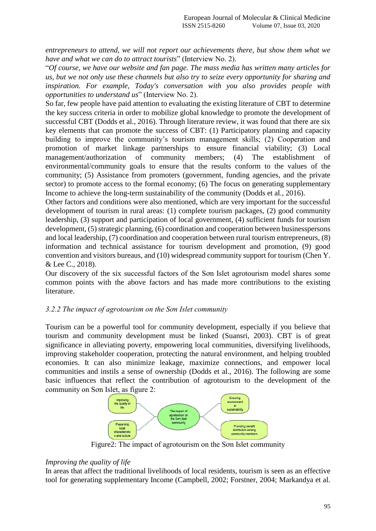*entrepreneurs to attend, we will not report our achievements there, but show them what we have and what we can do to attract tourists*" (Interview No. 2).

―*Of course, we have our website and fan page. The mass media has written many articles for us, but we not only use these channels but also try to seize every opportunity for sharing and inspiration. For example, Today's conversation with you also provides people with opportunities to understand us*" (Interview No. 2).

So far, few people have paid attention to evaluating the existing literature of CBT to determine the key success criteria in order to mobilize global knowledge to promote the development of successful CBT (Dodds et al., 2016). Through literature review, it was found that there are six key elements that can promote the success of CBT: (1) Participatory planning and capacity building to improve the community's tourism management skills; (2) Cooperation and promotion of market linkage partnerships to ensure financial viability; (3) Local management/authorization of community members; (4) The establishment of environmental/community goals to ensure that the results conform to the values of the community; (5) Assistance from promoters (government, funding agencies, and the private sector) to promote access to the formal economy; (6) The focus on generating supplementary Income to achieve the long-term sustainability of the community (Dodds et al., 2016).

Other factors and conditions were also mentioned, which are very important for the successful development of tourism in rural areas: (1) complete tourism packages, (2) good community leadership, (3) support and participation of local government, (4) sufficient funds for tourism development, (5) strategic planning, (6) coordination and cooperation between businesspersons and local leadership, (7) coordination and cooperation between rural tourism entrepreneurs, (8) information and technical assistance for tourism development and promotion, (9) good convention and visitors bureaus, and (10) widespread community support for tourism (Chen Y. & Lee C., 2018).

Our discovery of the six successful factors of the Sơn Islet agrotourism model shares some common points with the above factors and has made more contributions to the existing literature.

# *3.2.2 The impact of agrotourism on the Sơn Islet community*

Tourism can be a powerful tool for community development, especially if you believe that tourism and community development must be linked (Suansri, 2003). CBT is of great significance in alleviating poverty, empowering local communities, diversifying livelihoods, improving stakeholder cooperation, protecting the natural environment, and helping troubled economies. It can also minimize leakage, maximize connections, and empower local communities and instils a sense of ownership (Dodds et al., 2016). The following are some basic influences that reflect the contribution of agrotourism to the development of the community on Sơn Islet, as figure 2:



Figure2: The impact of agrotourism on the Sơn Islet community

## *Improving the quality of life*

In areas that affect the traditional livelihoods of local residents, tourism is seen as an effective tool for generating supplementary Income (Campbell, 2002; Forstner, 2004; Markandya et al.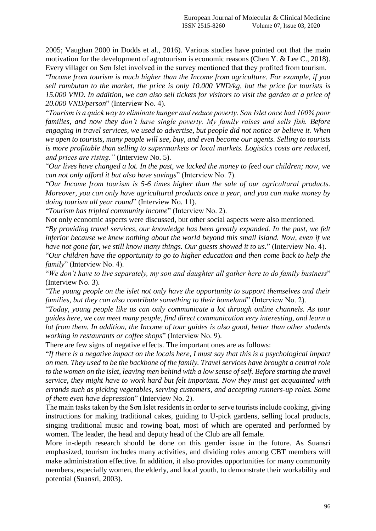2005; Vaughan 2000 in Dodds et al., 2016). Various studies have pointed out that the main motivation for the development of agrotourism is economic reasons (Chen Y. & Lee C., 2018). Every villager on Sơn Islet involved in the survey mentioned that they profited from tourism.

―*Income from tourism is much higher than the Income from agriculture. For example, if you sell rambutan to the market, the price is only 10.000 VND/kg, but the price for tourists is 15.000 VND. In addition, we can also sell tickets for visitors to visit the garden at a price of 20.000 VND/person*‖ (Interview No. 4).

―*Tourism is a quick way to eliminate hunger and reduce poverty. Sơn Islet once had 100% poor families, and now they don't have single poverty. My family raises and sells fish. Before engaging in travel services, we used to advertise, but people did not notice or believe it. When we open to tourists, many people will see, buy, and even become our agents. Selling to tourists is more profitable than selling to supermarkets or local markets. Logistics costs are reduced, and prices are rising."* (Interview No. 5).

―*Our lives have changed a lot. In the past, we lacked the money to feed our children; now, we can not only afford it but also have savings*‖ (Interview No. 7).

―*Our Income from tourism is 5-6 times higher than the sale of our agricultural products. Moreover, you can only have agricultural products once a year, and you can make money by doing tourism all year round*" (Interview No. 11).

―*Tourism has tripled community income*‖ (Interview No. 2).

Not only economic aspects were discussed, but other social aspects were also mentioned.

―*By providing travel services, our knowledge has been greatly expanded. In the past, we felt inferior because we knew nothing about the world beyond this small island. Now, even if we have not gone far, we still know many things. Our guests showed it to us.*" (Interview No. 4).

―*Our children have the opportunity to go to higher education and then come back to help the family*" (Interview No. 4).

―*We don't have to live separately, my son and daughter all gather here to do family business*‖ (Interview No. 3).

―*The young people on the islet not only have the opportunity to support themselves and their families, but they can also contribute something to their homeland*" (Interview No. 2).

―*Today, young people like us can only communicate a lot through online channels. As tour guides here, we can meet many people, find direct communication very interesting, and learn a lot from them. In addition, the Income of tour guides is also good, better than other students working in restaurants or coffee shops*" (Interview No. 9).

There are few signs of negative effects. The important ones are as follows:

―*If there is a negative impact on the locals here, I must say that this is a psychological impact on men. They used to be the backbone of the family. Travel services have brought a central role to the women on the islet, leaving men behind with a low sense of self. Before starting the travel service, they might have to work hard but felt important. Now they must get acquainted with errands such as picking vegetables, serving customers, and accepting runners-up roles. Some of them even have depression*" (Interview No. 2).

The main tasks taken by the Sơn Islet residents in order to serve tourists include cooking, giving instructions for making traditional cakes, guiding to U-pick gardens, selling local products, singing traditional music and rowing boat, most of which are operated and performed by women. The leader, the head and deputy head of the Club are all female.

More in-depth research should be done on this gender issue in the future. As Suansri emphasized, tourism includes many activities, and dividing roles among CBT members will make administration effective. In addition, it also provides opportunities for many community members, especially women, the elderly, and local youth, to demonstrate their workability and potential (Suansri, 2003).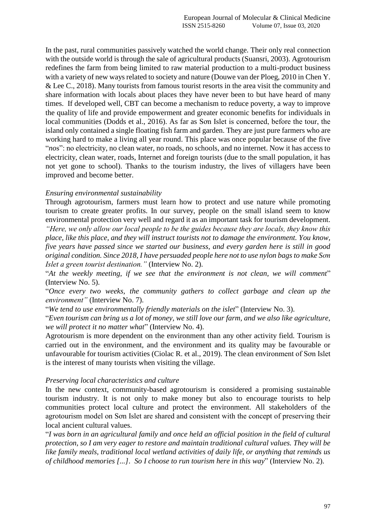In the past, rural communities passively watched the world change. Their only real connection with the outside world is through the sale of agricultural products (Suansri, 2003). Agrotourism redefines the farm from being limited to raw material production to a multi-product business with a variety of new ways related to society and nature (Douwe van der Ploeg, 2010 in Chen Y. & Lee C., 2018). Many tourists from famous tourist resorts in the area visit the community and share information with locals about places they have never been to but have heard of many times. If developed well, CBT can become a mechanism to reduce poverty, a way to improve the quality of life and provide empowerment and greater economic benefits for individuals in local communities (Dodds et al., 2016). As far as Sơn Islet is concerned, before the tour, the island only contained a single floating fish farm and garden. They are just pure farmers who are working hard to make a living all year round. This place was once popular because of the five "nos": no electricity, no clean water, no roads, no schools, and no internet. Now it has access to electricity, clean water, roads, Internet and foreign tourists (due to the small population, it has not yet gone to school). Thanks to the tourism industry, the lives of villagers have been improved and become better.

#### *Ensuring environmental sustainability*

Through agrotourism, farmers must learn how to protect and use nature while promoting tourism to create greater profits. In our survey, people on the small island seem to know environmental protection very well and regard it as an important task for tourism development. *"Here, we only allow our local people to be the guides because they are locals, they know this place, like this place, and they will instruct tourists not to damage the environment. You know, five years have passed since we started our business, and every garden here is still in good original condition. Since 2018, I have persuaded people here not to use nylon bags to make Sơn Islet a green tourist destination."* (Interview No. 2).

"At the weekly meeting, if we see that the environment is not clean, we will comment" (Interview No. 5).

―*Once every two weeks, the community gathers to collect garbage and clean up the environment"* (Interview No. 7).

―*We tend to use environmentally friendly materials on the islet*‖ (Interview No. 3).

―*Even tourism can bring us a lot of money, we still love our farm, and we also like agriculture, we will protect it no matter what*" (Interview No. 4).

Agrotourism is more dependent on the environment than any other activity field. Tourism is carried out in the environment, and the environment and its quality may be favourable or unfavourable for tourism activities (Ciolac R. et al., 2019). The clean environment of Sơn Islet is the interest of many tourists when visiting the village.

#### *Preserving local characteristics and culture*

In the new context, community-based agrotourism is considered a promising sustainable tourism industry. It is not only to make money but also to encourage tourists to help communities protect local culture and protect the environment. All stakeholders of the agrotourism model on Sơn Islet are shared and consistent with the concept of preserving their local ancient cultural values.

―*I was born in an agricultural family and once held an official position in the field of cultural protection, so I am very eager to restore and maintain traditional cultural values. They will be like family meals, traditional local wetland activities of daily life, or anything that reminds us of childhood memories [...]. So I choose to run tourism here in this way*" (Interview No. 2).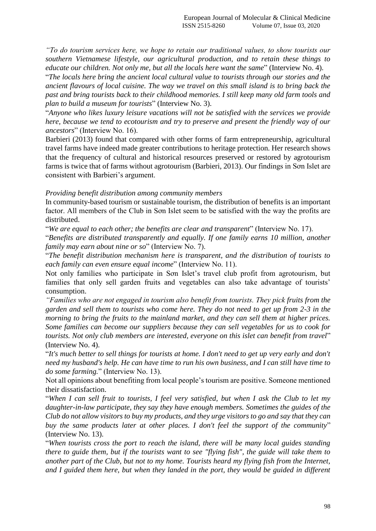*"To do tourism services here, we hope to retain our traditional values, to show tourists our southern Vietnamese lifestyle, our agricultural production, and to retain these things to educate our children. Not only me, but all the locals here want the same*" (Interview No. 4).

―*The locals here bring the ancient local cultural value to tourists through our stories and the ancient flavours of local cuisine. The way we travel on this small island is to bring back the past and bring tourists back to their childhood memories. I still keep many old farm tools and plan to build a museum for tourists*" (Interview No. 3).

―*Anyone who likes luxury leisure vacations will not be satisfied with the services we provide here, because we tend to ecotourism and try to preserve and present the friendly way of our ancestors*" (Interview No. 16).

Barbieri (2013) found that compared with other forms of farm entrepreneurship, agricultural travel farms have indeed made greater contributions to heritage protection. Her research shows that the frequency of cultural and historical resources preserved or restored by agrotourism farms is twice that of farms without agrotourism (Barbieri, 2013). Our findings in Sơn Islet are consistent with Barbieri's argument.

#### *Providing benefit distribution among community members*

In community-based tourism or sustainable tourism, the distribution of benefits is an important factor. All members of the Club in Sơn Islet seem to be satisfied with the way the profits are distributed.

―*We are equal to each other; the benefits are clear and transparent*‖ (Interview No. 17).

―*Benefits are distributed transparently and equally. If one family earns 10 million, another family may earn about nine or so*" (Interview No. 7).

―*The benefit distribution mechanism here is transparent, and the distribution of tourists to each family can even ensure equal income*" (Interview No. 11).

Not only families who participate in Sơn Islet's travel club profit from agrotourism, but families that only sell garden fruits and vegetables can also take advantage of tourists' consumption.

*"Families who are not engaged in tourism also benefit from tourists. They pick fruits from the garden and sell them to tourists who come here. They do not need to get up from 2-3 in the morning to bring the fruits to the mainland market, and they can sell them at higher prices. Some families can become our suppliers because they can sell vegetables for us to cook for tourists. Not only club members are interested, everyone on this islet can benefit from travel*" (Interview No. 4).

―*It's much better to sell things for tourists at home. I don't need to get up very early and don't need my husband's help. He can have time to run his own business, and I can still have time to do some farming.*‖ (Interview No. 13).

Not all opinions about benefiting from local people's tourism are positive. Someone mentioned their dissatisfaction.

―*When I can sell fruit to tourists, I feel very satisfied, but when I ask the Club to let my daughter-in-law participate, they say they have enough members. Sometimes the guides of the Club do not allow visitors to buy my products, and they urge visitors to go and say that they can buy the same products later at other places. I don't feel the support of the community*" (Interview No. 13).

―*When tourists cross the port to reach the island, there will be many local guides standing there to guide them, but if the tourists want to see "flying fish", the guide will take them to another part of the Club, but not to my home. Tourists heard my flying fish from the Internet, and I guided them here, but when they landed in the port, they would be guided in different*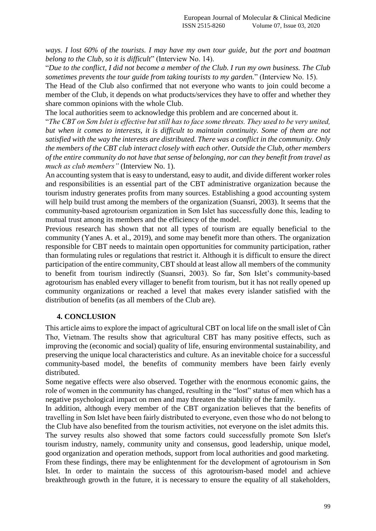*ways. I lost 60% of the tourists. I may have my own tour guide, but the port and boatman belong to the Club, so it is difficult*" (Interview No. 14).

―*Due to the conflict, I did not become a member of the Club. I run my own business. The Club sometimes prevents the tour guide from taking tourists to my garden.*‖ (Interview No. 15).

The Head of the Club also confirmed that not everyone who wants to join could become a member of the Club, it depends on what products/services they have to offer and whether they share common opinions with the whole Club.

The local authorities seem to acknowledge this problem and are concerned about it.

―*The CBT on Sơn Islet is effective but still has to face some threats. They used to be very united, but when it comes to interests, it is difficult to maintain continuity. Some of them are not satisfied with the way the interests are distributed. There was a conflict in the community. Only the members of the CBT club interact closely with each other. Outside the Club, other members of the entire community do not have that sense of belonging, nor can they benefit from travel as much as club members"* (Interview No. 1).

An accounting system that is easy to understand, easy to audit, and divide different worker roles and responsibilities is an essential part of the CBT administrative organization because the tourism industry generates profits from many sources. Establishing a good accounting system will help build trust among the members of the organization (Suansri, 2003). It seems that the community-based agrotourism organization in Sơn Islet has successfully done this, leading to mutual trust among its members and the efficiency of the model.

Previous research has shown that not all types of tourism are equally beneficial to the community (Yanes A. et al., 2019), and some may benefit more than others. The organization responsible for CBT needs to maintain open opportunities for community participation, rather than formulating rules or regulations that restrict it. Although it is difficult to ensure the direct participation of the entire community, CBT should at least allow all members of the community to benefit from tourism indirectly (Suansri, 2003). So far, Sơn Islet's community-based agrotourism has enabled every villager to benefit from tourism, but it has not really opened up community organizations or reached a level that makes every islander satisfied with the distribution of benefits (as all members of the Club are).

## **4. CONCLUSION**

This article aims to explore the impact of agricultural CBT on local life on the small islet of Cần Thơ, Vietnam. The results show that agricultural CBT has many positive effects, such as improving the (economic and social) quality of life, ensuring environmental sustainability, and preserving the unique local characteristics and culture. As an inevitable choice for a successful community-based model, the benefits of community members have been fairly evenly distributed.

Some negative effects were also observed. Together with the enormous economic gains, the role of women in the community has changed, resulting in the "lost" status of men which has a negative psychological impact on men and may threaten the stability of the family.

In addition, although every member of the CBT organization believes that the benefits of travelling in Sơn Islet have been fairly distributed to everyone, even those who do not belong to the Club have also benefited from the tourism activities, not everyone on the islet admits this.

The survey results also showed that some factors could successfully promote Sơn Islet's tourism industry, namely, community unity and consensus, good leadership, unique model, good organization and operation methods, support from local authorities and good marketing. From these findings, there may be enlightenment for the development of agrotourism in Sơn Islet. In order to maintain the success of this agrotourism-based model and achieve breakthrough growth in the future, it is necessary to ensure the equality of all stakeholders,